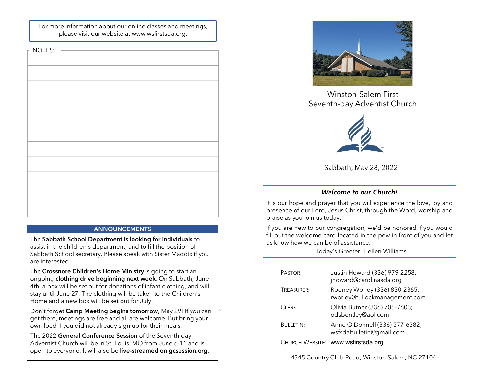For more information about our online classes and meetings, please visit our website at www.wsfirstsda.org.

 $-NOTES$ 

| $\sim$ $\sim$ $\sim$ $\sim$ $\sim$ |
|------------------------------------|
|                                    |
|                                    |
|                                    |
|                                    |
|                                    |
|                                    |
|                                    |
|                                    |
|                                    |
|                                    |
|                                    |
|                                    |
|                                    |
|                                    |
|                                    |
|                                    |
|                                    |

# ANNOUNCEMENTS

The Sabbath School Department is looking for individuals to assist in the children's department, and to fill the position of Sabbath School secretary. Please speak with Sister Maddix if you are interested.

The Crossnore Children's Home Ministry is going to start an ongoing clothing drive beginning next week. On Sabbath, June 4th, a box will be set out for donations of infant clothing, and will stay until June 27. The clothing will be taken to the Children's Home and a new box will be set out for July.

Don't forget Camp Meeting begins tomorrow, May 29! If you can get there, meetings are free and all are welcome. But bring your own food if you did not already sign up for their meals.

`

The 2022 General Conference Session of the Seventh-day Adventist Church will be in St. Louis, MO from June 6-11 and is open to everyone. It will also be live-streamed on gcsession.org.



Winston-Salem First



Sabbath, May 28, 2022

# Welcome to our Church!

Winston-Salem First<br>Seventh-day Adventist Church<br>Sabbath, May 28, 2022<br>Welcome to our Church!<br>It is our hope and prayer that you will experience the love, joy and<br>praise as you join us today.<br>If you are new to our congrega Winston-Salem First<br>
Seventh-day Adventist Church<br>
Seventh-day Adventist Church<br>
Sabbath, May 28, 2022<br>
Welcome to our Church!<br>
It is our hope and prayer that you will experience the love, joy and<br>
presence of our Lord, Je Winston-Salem First<br>
Seventh-day Adventist Church<br>
Sabbath, May 28, 2022<br>
Welcome to our Church!<br>
It is our hope and prayer that you will experience the love, joy and<br>
presence of our Lord, Jesus Christ, through the Word, Winston-Salem First<br>
Seventh-day Adventist Church<br>
Sabbath, May 28, 2022<br>
Welcome to our Church!<br>
It is our hope and prager that you will experience the love, joy and<br>
presence of our Lord, Jesus Christ, through the Word, Winston-Salem First<br>
Seventh-day Adventist Church<br>
Sabbath, May 28, 2022<br>
Welcome to our Church!<br>
It is our hope and prayer that you will experience the love, joy and<br>
praise as you join us tody.<br>
If you are new to our con

|                                  | Sabbath, May 28, 2022                                                                                                            |  |
|----------------------------------|----------------------------------------------------------------------------------------------------------------------------------|--|
|                                  | <b>Welcome to our Church!</b>                                                                                                    |  |
| ise as you join us today.        | our hope and prayer that you will experience the love, joy and<br>sence of our Lord, Jesus Christ, through the Word, worship and |  |
| now how we can be of assistance. | ou are new to our congregation, we'd be honored if you would<br>but the welcome card located in the pew in front of you and let  |  |
|                                  | Today's Greeter: Hellen Williams                                                                                                 |  |
| PASTOR:                          | Justin Howard (336) 979-2258;<br>jhoward@carolinasda.org                                                                         |  |
| TREASURER:                       | Rodney Worley (336) 830-2365;<br>rworley@tullockmanagement.com                                                                   |  |
| CLERK:                           | Olivia Butner (336) 705-7603;<br>odsbentley@aol.com                                                                              |  |
| <b>BULLETIN:</b>                 | Anne O'Donnell (336) 577-6382;<br>wsfsdabulletin@gmail.com                                                                       |  |
|                                  | CHURCH WEBSITE: www.wsfirstsda.org                                                                                               |  |